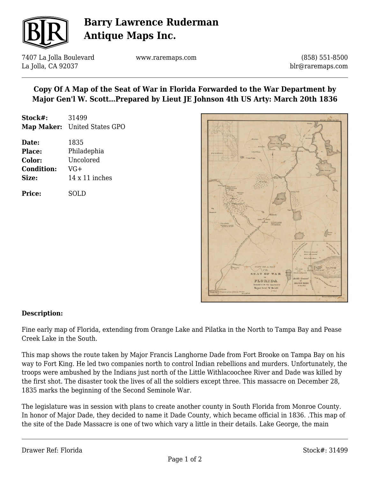

# **Barry Lawrence Ruderman Antique Maps Inc.**

7407 La Jolla Boulevard La Jolla, CA 92037

www.raremaps.com

(858) 551-8500 blr@raremaps.com

### **Copy Of A Map of the Seat of War in Florida Forwarded to the War Department by Major Gen'l W. Scott…Prepared by Lieut JE Johnson 4th US Arty: March 20th 1836**

| Stock#: | 31499                        |
|---------|------------------------------|
|         | Map Maker: United States GPO |

| Date:             | 1835                  |
|-------------------|-----------------------|
| <b>Place:</b>     | Philadephia           |
| Color:            | Uncolored             |
| <b>Condition:</b> | VG+                   |
| Size:             | $14 \times 11$ inches |
|                   |                       |

**Price:** SOLD



#### **Description:**

Fine early map of Florida, extending from Orange Lake and Pilatka in the North to Tampa Bay and Pease Creek Lake in the South.

This map shows the route taken by Major Francis Langhorne Dade from Fort Brooke on Tampa Bay on his way to Fort King. He led two companies north to control Indian rebellions and murders. Unfortunately, the troops were ambushed by the Indians just north of the Little Withlacoochee River and Dade was killed by the first shot. The disaster took the lives of all the soldiers except three. This massacre on December 28, 1835 marks the beginning of the Second Seminole War.

The legislature was in session with plans to create another county in South Florida from Monroe County. In honor of Major Dade, they decided to name it Dade County, which became official in 1836. .This map of the site of the Dade Massacre is one of two which vary a little in their details. Lake George, the main